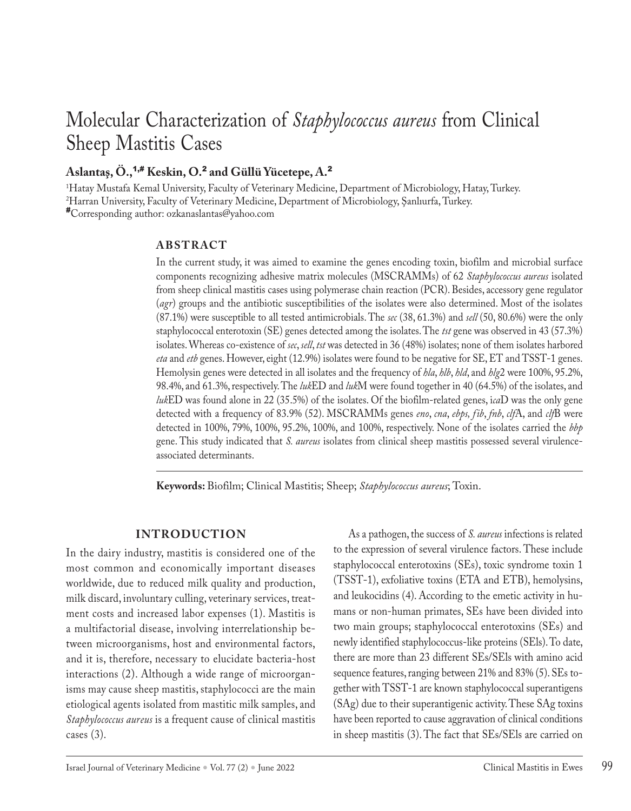# Molecular Characterization of *Staphylococcus aureus* from Clinical Sheep Mastitis Cases

## **Aslantaş, Ö.,**1,# **Keskin, O.**<sup>2</sup> **and Güllü Yücetepe, A.**<sup>2</sup>

1 Hatay Mustafa Kemal University, Faculty of Veterinary Medicine, Department of Microbiology, Hatay, Turkey. 2 Harran University, Faculty of Veterinary Medicine, Department of Microbiology, Şanlıurfa, Turkey. #Corresponding author: ozkanaslantas@yahoo.com

#### **ABSTRACT**

In the current study, it was aimed to examine the genes encoding toxin, biofilm and microbial surface components recognizing adhesive matrix molecules (MSCRAMMs) of 62 *Staphylococcus aureus* isolated from sheep clinical mastitis cases using polymerase chain reaction (PCR). Besides, accessory gene regulator (*agr*) groups and the antibiotic susceptibilities of the isolates were also determined. Most of the isolates (87.1%) were susceptible to all tested antimicrobials. The *sec* (38, 61.3%) and *sell* (50, 80.6%) were the only staphylococcal enterotoxin (SE) genes detected among the isolates. The *tst* gene was observed in 43 (57.3%) isolates. Whereas co-existence of *sec*, *sell*, *tst* was detected in 36 (48%) isolates; none of them isolates harbored *eta* and *etb* genes. However, eight (12.9%) isolates were found to be negative for SE, ET and TSST-1 genes. Hemolysin genes were detected in all isolates and the frequency of *hla*, *hlb*, *hld*, and *hlg*2 were 100%, 95.2%, 98.4%, and 61.3%, respectively. The *luk*ED and *luk*M were found together in 40 (64.5%) of the isolates, and *luk*ED was found alone in 22 (35.5%) of the isolates. Of the biofilm-related genes, i*ca*D was the only gene detected with a frequency of 83.9% (52). MSCRAMMs genes *eno*, *cna*, *ebps, fib*, *fnb*, *clf*A, and *clf*B were detected in 100%, 79%, 100%, 95.2%, 100%, and 100%, respectively. None of the isolates carried the *bbp* gene. This study indicated that *S. aureus* isolates from clinical sheep mastitis possessed several virulenceassociated determinants.

**Keywords:** Biofilm; Clinical Mastitis; Sheep; *Staphylococcus aureus*; Toxin.

#### **INTRODUCTION**

In the dairy industry, mastitis is considered one of the most common and economically important diseases worldwide, due to reduced milk quality and production, milk discard, involuntary culling, veterinary services, treatment costs and increased labor expenses (1). Mastitis is a multifactorial disease, involving interrelationship between microorganisms, host and environmental factors, and it is, therefore, necessary to elucidate bacteria-host interactions (2). Although a wide range of microorganisms may cause sheep mastitis, staphylococci are the main etiological agents isolated from mastitic milk samples, and *Staphylococcus aureus* is a frequent cause of clinical mastitis cases (3).

As a pathogen, the success of *S. aureus* infections is related to the expression of several virulence factors. These include staphylococcal enterotoxins (SEs), toxic syndrome toxin 1 (TSST-1), exfoliative toxins (ETA and ETB), hemolysins, and leukocidins (4). According to the emetic activity in humans or non-human primates, SEs have been divided into two main groups; staphylococcal enterotoxins (SEs) and newly identified staphylococcus-like proteins (SEls). To date, there are more than 23 different SEs/SEls with amino acid sequence features, ranging between 21% and 83% (5). SEs together with TSST-1 are known staphylococcal superantigens (SAg) due to their superantigenic activity. These SAg toxins have been reported to cause aggravation of clinical conditions in sheep mastitis (3). The fact that SEs/SEls are carried on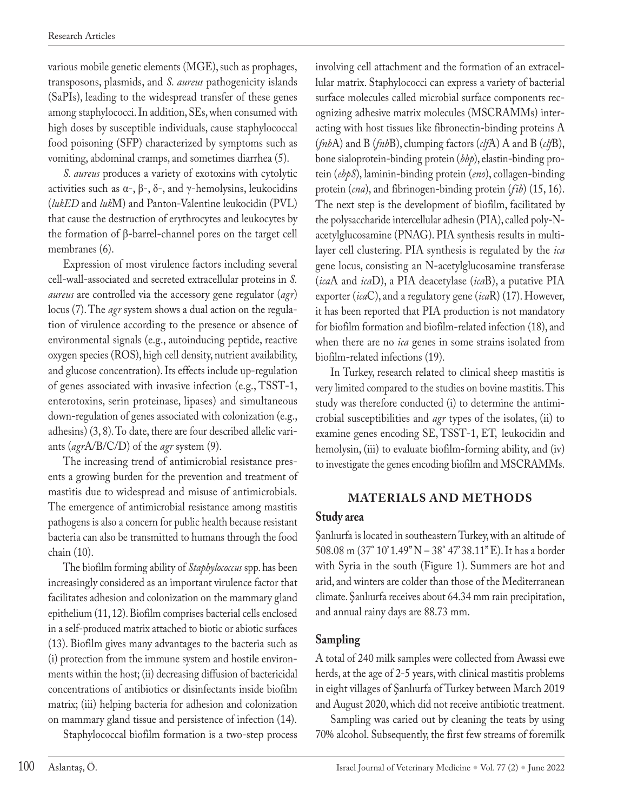various mobile genetic elements (MGE), such as prophages, transposons, plasmids, and *S. aureus* pathogenicity islands (SaPIs), leading to the widespread transfer of these genes among staphylococci. In addition, SEs, when consumed with high doses by susceptible individuals, cause staphylococcal food poisoning (SFP) characterized by symptoms such as vomiting, abdominal cramps, and sometimes diarrhea (5).

*S. aureus* produces a variety of exotoxins with cytolytic activities such as  $\alpha$ -,  $\beta$ -,  $\delta$ -, and γ-hemolysins, leukocidins (*lukED* and *luk*M) and Panton-Valentine leukocidin (PVL) that cause the destruction of erythrocytes and leukocytes by the formation of β-barrel-channel pores on the target cell membranes (6).

Expression of most virulence factors including several cell-wall-associated and secreted extracellular proteins in *S. aureus* are controlled via the accessory gene regulator (*agr*) locus (7). The *agr* system shows a dual action on the regulation of virulence according to the presence or absence of environmental signals (e.g., autoinducing peptide, reactive oxygen species (ROS), high cell density, nutrient availability, and glucose concentration). Its effects include up-regulation of genes associated with invasive infection (e.g., TSST-1, enterotoxins, serin proteinase, lipases) and simultaneous down-regulation of genes associated with colonization (e.g., adhesins) (3, 8). To date, there are four described allelic variants (*agr*A/B/C/D) of the *agr* system (9).

The increasing trend of antimicrobial resistance presents a growing burden for the prevention and treatment of mastitis due to widespread and misuse of antimicrobials. The emergence of antimicrobial resistance among mastitis pathogens is also a concern for public health because resistant bacteria can also be transmitted to humans through the food chain (10).

The biofilm forming ability of *Staphylococcus* spp. has been increasingly considered as an important virulence factor that facilitates adhesion and colonization on the mammary gland epithelium (11, 12). Biofilm comprises bacterial cells enclosed in a self-produced matrix attached to biotic or abiotic surfaces (13). Biofilm gives many advantages to the bacteria such as (i) protection from the immune system and hostile environments within the host; (ii) decreasing diffusion of bactericidal concentrations of antibiotics or disinfectants inside biofilm matrix; (iii) helping bacteria for adhesion and colonization on mammary gland tissue and persistence of infection (14).

Staphylococcal biofilm formation is a two-step process

involving cell attachment and the formation of an extracellular matrix. Staphylococci can express a variety of bacterial surface molecules called microbial surface components recognizing adhesive matrix molecules (MSCRAMMs) interacting with host tissues like fibronectin-binding proteins A (*fnb*A) and B (*fnb*B), clumping factors (*clf*A) A and B (*clf*B), bone sialoprotein-binding protein (*bbp*), elastin-binding protein (*ebpS*), laminin-binding protein (*eno*), collagen-binding protein (*cna*), and fibrinogen-binding protein (*fib*) (15, 16). The next step is the development of biofilm, facilitated by the polysaccharide intercellular adhesin (PIA), called poly-Nacetylglucosamine (PNAG). PIA synthesis results in multilayer cell clustering. PIA synthesis is regulated by the *ica* gene locus, consisting an N-acetylglucosamine transferase (*ica*A and *ica*D), a PIA deacetylase (*ica*B), a putative PIA exporter (*ica*C), and a regulatory gene (*ica*R) (17). However, it has been reported that PIA production is not mandatory for biofilm formation and biofilm-related infection (18), and when there are no *ica* genes in some strains isolated from biofilm-related infections (19).

In Turkey, research related to clinical sheep mastitis is very limited compared to the studies on bovine mastitis. This study was therefore conducted (i) to determine the antimicrobial susceptibilities and *agr* types of the isolates, (ii) to examine genes encoding SE, TSST-1, ET, leukocidin and hemolysin, (iii) to evaluate biofilm-forming ability, and (iv) to investigate the genes encoding biofilm and MSCRAMMs.

## **MATERIALS AND METHODS**

#### **Study area**

Şanlıurfa is located in southeastern Turkey, with an altitude of 508.08 m (37° 10' 1.49" N – 38° 47' 38.11" E). It has a border with Syria in the south (Figure 1). Summers are hot and arid, and winters are colder than those of the Mediterranean climate. Şanlıurfa receives about 64.34 mm rain precipitation, and annual rainy days are 88.73 mm.

## **Sampling**

A total of 240 milk samples were collected from Awassi ewe herds, at the age of 2-5 years, with clinical mastitis problems in eight villages of Şanlıurfa of Turkey between March 2019 and August 2020, which did not receive antibiotic treatment.

Sampling was caried out by cleaning the teats by using 70% alcohol. Subsequently, the first few streams of foremilk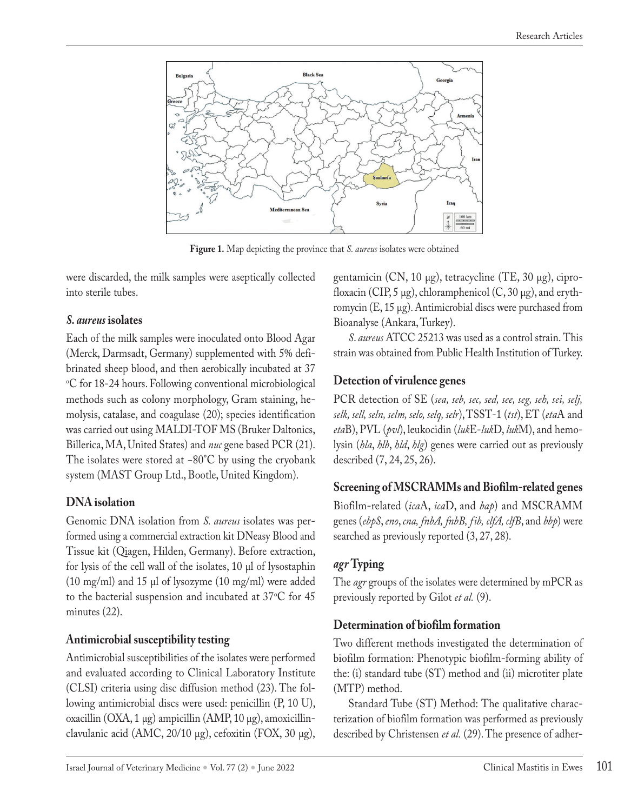

**Figure 1.** Map depicting the province that *S. aureus* isolates were obtained

were discarded, the milk samples were aseptically collected into sterile tubes.

## *S. aureus* **isolates**

Each of the milk samples were inoculated onto Blood Agar (Merck, Darmsadt, Germany) supplemented with 5% defibrinated sheep blood, and then aerobically incubated at 37 °C for 18-24 hours. Following conventional microbiological methods such as colony morphology, Gram staining, hemolysis, catalase, and coagulase (20); species identification was carried out using MALDI-TOF MS (Bruker Daltonics, Billerica, MA, United States) and *nuc* gene based PCR (21). The isolates were stored at −80°C by using the cryobank system (MAST Group Ltd., Bootle, United Kingdom).

# **DNA isolation**

Genomic DNA isolation from *S. aureus* isolates was performed using a commercial extraction kit DNeasy Blood and Tissue kit (Qiagen, Hilden, Germany). Before extraction, for lysis of the cell wall of the isolates, 10 µl of lysostaphin (10 mg/ml) and 15 µl of lysozyme (10 mg/ml) were added to the bacterial suspension and incubated at  $37^{\circ}$ C for  $45$ minutes (22).

# **Antimicrobial susceptibility testing**

Antimicrobial susceptibilities of the isolates were performed and evaluated according to Clinical Laboratory Institute (CLSI) criteria using disc diffusion method (23). The following antimicrobial discs were used: penicillin (P, 10 U), oxacillin (OXA, 1 µg) ampicillin (AMP, 10 µg), amoxicillinclavulanic acid (AMC,  $20/10 \mu$ g), cefoxitin (FOX, 30  $\mu$ g),

gentamicin (CN, 10 µg), tetracycline (TE, 30 µg), ciprofloxacin (CIP, 5  $\mu$ g), chloramphenicol (C, 30  $\mu$ g), and erythromycin (E, 15 µg). Antimicrobial discs were purchased from Bioanalyse (Ankara, Turkey).

*S*. *aureus* ATCC 25213 was used as a control strain. This strain was obtained from Public Health Institution of Turkey.

## **Detection of virulence genes**

PCR detection of SE (*sea, seb, sec, sed, see, seg, seh, sei, selj, selk, sell, seln, selm, selo, selq, selr*), TSST-1 (*tst*), ET (*eta*A and *eta*B), PVL (*pvl*), leukocidin (*luk*E-*luk*D, *luk*M), and hemolysin (*hla*, *hlb*, *hld*, *hlg*) genes were carried out as previously described (7, 24, 25, 26).

# **Screening of MSCRAMMs and Biofilm-related genes**

Biofilm-related (*ica*A, *ica*D, and *bap*) and MSCRAMM genes (*ebpS*, *eno*, *cna, fnbA, fnbB, fib, clfA, clfB*, and *bbp*) were searched as previously reported (3, 27, 28).

# *agr* **Typing**

The *agr* groups of the isolates were determined by mPCR as previously reported by Gilot *et al.* (9).

## **Determination of biofilm formation**

Two different methods investigated the determination of biofilm formation: Phenotypic biofilm-forming ability of the: (i) standard tube (ST) method and (ii) microtiter plate (MTP) method.

Standard Tube (ST) Method: The qualitative characterization of biofilm formation was performed as previously described by Christensen *et al.* (29). The presence of adher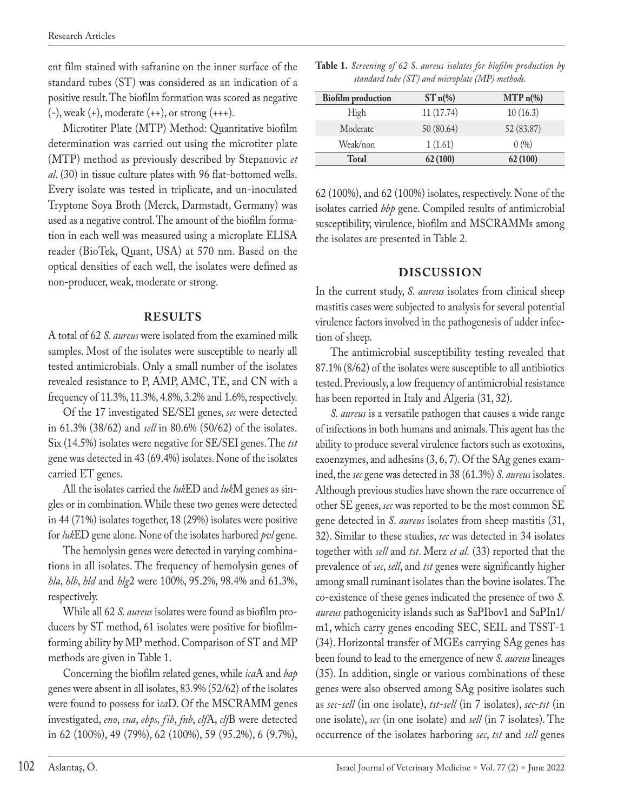ent film stained with safranine on the inner surface of the standard tubes (ST) was considered as an indication of a positive result. The biofilm formation was scored as negative  $(-)$ , weak  $(+)$ , moderate  $(+)$ , or strong  $(++)$ .

Microtiter Plate (MTP) Method: Quantitative biofilm determination was carried out using the microtiter plate (MTP) method as previously described by Stepanovic *et al*. (30) in tissue culture plates with 96 flat-bottomed wells. Every isolate was tested in triplicate, and un-inoculated Tryptone Soya Broth (Merck, Darmstadt, Germany) was used as a negative control. The amount of the biofilm formation in each well was measured using a microplate ELISA reader (BioTek, Quant, USA) at 570 nm. Based on the optical densities of each well, the isolates were defined as non-producer, weak, moderate or strong.

#### **RESULTS**

A total of 62 *S. aureus* were isolated from the examined milk samples. Most of the isolates were susceptible to nearly all tested antimicrobials. Only a small number of the isolates revealed resistance to P, AMP, AMC, TE, and CN with a frequency of 11.3%, 11.3%, 4.8%, 3.2% and 1.6%, respectively.

Of the 17 investigated SE/SEl genes, *sec* were detected in 61.3% (38/62) and *sell* in 80.6% (50/62) of the isolates. Six (14.5%) isolates were negative for SE/SEI genes. The *tst*  gene was detected in 43 (69.4%) isolates. None of the isolates carried ET genes.

All the isolates carried the *luk*ED and *luk*M genes as singles or in combination. While these two genes were detected in 44 (71%) isolates together, 18 (29%) isolates were positive for *luk*ED gene alone. None of the isolates harbored *pvl* gene.

The hemolysin genes were detected in varying combinations in all isolates. The frequency of hemolysin genes of *hla*, *hlb*, *hld* and *hlg*2 were 100%, 95.2%, 98.4% and 61.3%, respectively.

While all 62 *S. aureus* isolates were found as biofilm producers by ST method, 61 isolates were positive for biofilmforming ability by MP method. Comparison of ST and MP methods are given in Table 1.

Concerning the biofilm related genes, while *ica*A and *bap* genes were absent in all isolates, 83.9% (52/62) of the isolates were found to possess for i*ca*D. Of the MSCRAMM genes investigated, *eno*, *cna*, *ebps, fib*, *fnb*, *clf*A, *clf*B were detected in 62 (100%), 49 (79%), 62 (100%), 59 (95.2%), 6 (9.7%),

| Table 1. Screening of 62 S. aureus isolates for biofilm production by |  |
|-----------------------------------------------------------------------|--|
| standard tube (ST) and microplate (MP) methods.                       |  |

| <b>Biofilm</b> production | $STn\%$    | $MTP_n(\%)$ |  |
|---------------------------|------------|-------------|--|
| High                      | 11 (17.74) | 10(16.3)    |  |
| Moderate                  | 50 (80.64) | 52 (83.87)  |  |
| Weak/non                  | 1(1.61)    | 0(%)        |  |
| <b>Total</b>              | 62(100)    | 62(100)     |  |

62 (100%), and 62 (100%) isolates, respectively. None of the isolates carried *bbp* gene. Compiled results of antimicrobial susceptibility, virulence, biofilm and MSCRAMMs among the isolates are presented in Table 2.

## **DISCUSSION**

In the current study, *S. aureus* isolates from clinical sheep mastitis cases were subjected to analysis for several potential virulence factors involved in the pathogenesis of udder infection of sheep.

The antimicrobial susceptibility testing revealed that 87.1% (8/62) of the isolates were susceptible to all antibiotics tested. Previously, a low frequency of antimicrobial resistance has been reported in Italy and Algeria (31, 32).

*S. aureus* is a versatile pathogen that causes a wide range of infections in both humans and animals. This agent has the ability to produce several virulence factors such as exotoxins, exoenzymes, and adhesins (3, 6, 7). Of the SAg genes examined, the *sec* gene was detected in 38 (61.3%) *S. aureus* isolates. Although previous studies have shown the rare occurrence of other SE genes, *sec* was reported to be the most common SE gene detected in *S. aureus* isolates from sheep mastitis (31, 32). Similar to these studies, *sec* was detected in 34 isolates together with *sell* and *tst*. Merz *et al.* (33) reported that the prevalence of *sec*, *sell*, and *tst* genes were significantly higher among small ruminant isolates than the bovine isolates. The co-existence of these genes indicated the presence of two *S. aureus* pathogenicity islands such as SaPIbov1 and SaPIn1/ m1, which carry genes encoding SEC, SEIL and TSST-1 (34). Horizontal transfer of MGEs carrying SAg genes has been found to lead to the emergence of new *S. aureus* lineages (35). In addition, single or various combinations of these genes were also observed among SAg positive isolates such as *sec*-*sell* (in one isolate), *tst*-*sell* (in 7 isolates), *sec*-*tst* (in one isolate), *sec* (in one isolate) and *sell* (in 7 isolates). The occurrence of the isolates harboring *sec*, *tst* and *sell* genes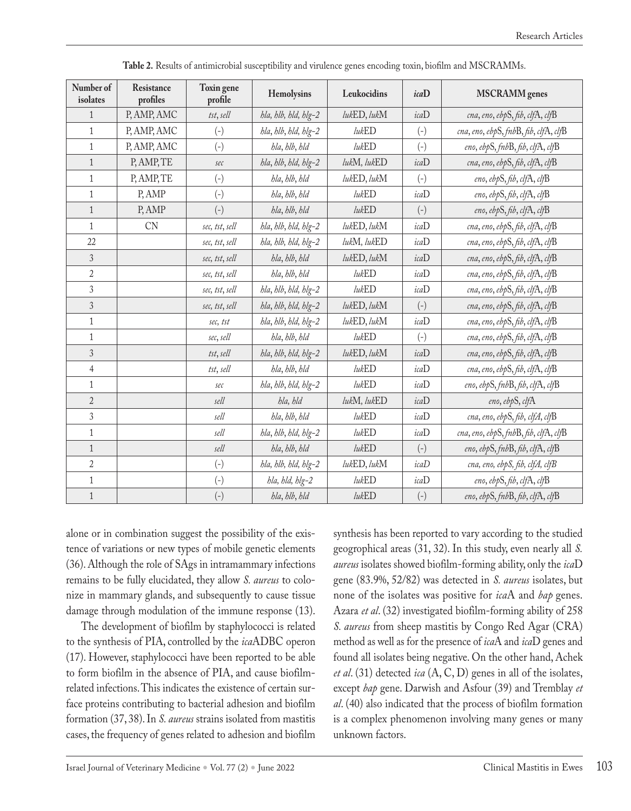| Number of<br>isolates | Resistance<br>profiles | Toxin gene<br>profile     | Hemolysins           | Leukocidins | icaD              | <b>MSCRAMM</b> genes                  |
|-----------------------|------------------------|---------------------------|----------------------|-------------|-------------------|---------------------------------------|
| $\mathbf{1}$          | P, AMP, AMC            | tst, sell                 | hla, hlb, hld, hlg-2 | lukED, lukM | icaD              | cna, eno, ebpS, fib, clfA, clfB       |
| $\mathbf{1}$          | P, AMP, AMC            | $(-)$                     | hla, hlb, hld, hlg-2 | lukED       | $(-)$             | cna, eno, ebpS, fnbB, fib, clfA, clfB |
| $\mathbf{1}$          | P, AMP, AMC            | $\left( \text{-}\right)$  | hla, hlb, hld        | lukED       | $(-)$             | eno, ebpS, fnbB, fib, clfA, clfB      |
| $\mathbf{1}$          | P, AMP, TE             | sec                       | bla, blb, bld, blg-2 | lukM, lukED | icaD              | cna, eno, ebpS, fib, clfA, clfB       |
| $\mathbf{1}$          | P, AMP, TE             | $\left( \text{-}\right)$  | hla, hlb, hld        | lukED, lukM | $(-)$             | eno, ebpS, fib, clfA, clfB            |
| $\mathbf{1}$          | P, AMP                 | $(-)$                     | hla, hlb, hld        | lukED       | icaD              | eno, ebpS, fib, clfA, clfB            |
| $\mathbf{1}$          | P, AMP                 | $\left( \text{-}\right)$  | bla, blb, bld        | lukED       | $(-)$             | eno, ebpS, fib, clfA, clfB            |
| $\mathbf{1}$          | <b>CN</b>              | sec, tst, sell            | bla, blb, bld, blg-2 | lukED, lukM | icaD              | cna, eno, ebpS, fib, clfA, clfB       |
| 22                    |                        | sec, tst, sell            | hla, hlb, hld, hlg-2 | lukM, lukED | icaD              | cna, eno, ebpS, fib, clfA, clfB       |
| $\mathfrak{Z}$        |                        | sec, tst, sell            | bla, blb, bld        | lukED, lukM | icaD              | cna, eno, ebpS, fib, clfA, clfB       |
| $\overline{2}$        |                        | sec, tst, sell            | hla, hlb, hld        | lukED       | icaD              | cna, eno, ebpS, fib, clfA, clfB       |
| 3                     |                        | sec, tst, sell            | bla, blb, bld, blg-2 | lukED       | icaD              | cna, eno, ebpS, fib, clfA, clfB       |
| $\overline{3}$        |                        | sec, tst, sell            | bla, blb, bld, blg-2 | lukED, lukM | $(-)$             | cna, eno, ebpS, fib, clfA, clfB       |
| $\mathbf{1}$          |                        | sec, tst                  | bla, hlb, hld, hlg-2 | lukED, lukM | icaD              | cna, eno, ebpS, fib, clfA, clfB       |
| $\mathbf{1}$          |                        | sec, sell                 | hla, hlb, hld        | lukED       | $(-)$             | cna, eno, ebpS, fib, clfA, clfB       |
| $\overline{3}$        |                        | tst, sell                 | bla, blb, bld, blg-2 | lukED, lukM | icaD              | cna, eno, ebpS, fib, clfA, clfB       |
| $\overline{4}$        |                        | tst, sell                 | hla, hlb, hld        | lukED       | icaD              | cna, eno, ebpS, fib, clfA, clfB       |
| $\mathbf{1}$          |                        | sec                       | bla, hlb, hld, hlg-2 | lukED       | icaD              | eno, ebpS, fnbB, fib, clfA, clfB      |
| $\sqrt{2}$            |                        | sell                      | hla, hld             | lukM, lukED | icaD              | eno, ebpS, clfA                       |
| $\overline{3}$        |                        | sell                      | hla, hlb, hld        | lukED       | icaD              | cna, eno, ebpS, fib, clfA, clfB       |
| $\mathbf{1}$          |                        | sell                      | bla, blb, bld, blg-2 | lukED       | icaD              | cna, eno, ebpS, fnbB, fib, clfA, clfB |
| $\mathbf{1}$          |                        | sell                      | hla, hlb, hld        | lukED       | $\left( -\right)$ | eno, ebpS, fnbB, fib, clfA, clfB      |
| $\sqrt{2}$            |                        | $\left( \text{-}\right)$  | bla, blb, bld, blg-2 | lukED, lukM | icaD              | cna, eno, ebpS, fib, clfA, clfB       |
| $\mathbf{1}$          |                        | $\left( \text{-} \right)$ | bla, bld, blg-2      | lukED       | icaD              | eno, ebpS, fib, clfA, clfB            |
| $1\,$                 |                        | $(-)$                     | bla, blb, bld        | lukED       | $(-)$             | eno, ebpS, fnbB, fib, clfA, clfB      |

**Table 2.** Results of antimicrobial susceptibility and virulence genes encoding toxin, biofilm and MSCRAMMs.

alone or in combination suggest the possibility of the existence of variations or new types of mobile genetic elements (36). Although the role of SAgs in intramammary infections remains to be fully elucidated, they allow *S. aureus* to colonize in mammary glands, and subsequently to cause tissue damage through modulation of the immune response (13).

The development of biofilm by staphylococci is related to the synthesis of PIA, controlled by the *ica*ADBC operon (17). However, staphylococci have been reported to be able to form biofilm in the absence of PIA, and cause biofilmrelated infections. This indicates the existence of certain surface proteins contributing to bacterial adhesion and biofilm formation (37, 38). In *S. aureus* strains isolated from mastitis cases, the frequency of genes related to adhesion and biofilm synthesis has been reported to vary according to the studied geogrophical areas (31, 32). In this study, even nearly all *S. aureus* isolates showed biofilm-forming ability, only the *ica*D gene (83.9%, 52/82) was detected in *S. aureus* isolates, but none of the isolates was positive for *ica*A and *bap* genes. Azara *et al*. (32) investigated biofilm-forming ability of 258 *S. aureus* from sheep mastitis by Congo Red Agar (CRA) method as well as for the presence of *ica*A and *ica*D genes and found all isolates being negative. On the other hand, Achek *et al*. (31) detected *ica* (A, C, D) genes in all of the isolates, except *bap* gene. Darwish and Asfour (39) and Tremblay *et al*. (40) also indicated that the process of biofilm formation is a complex phenomenon involving many genes or many unknown factors.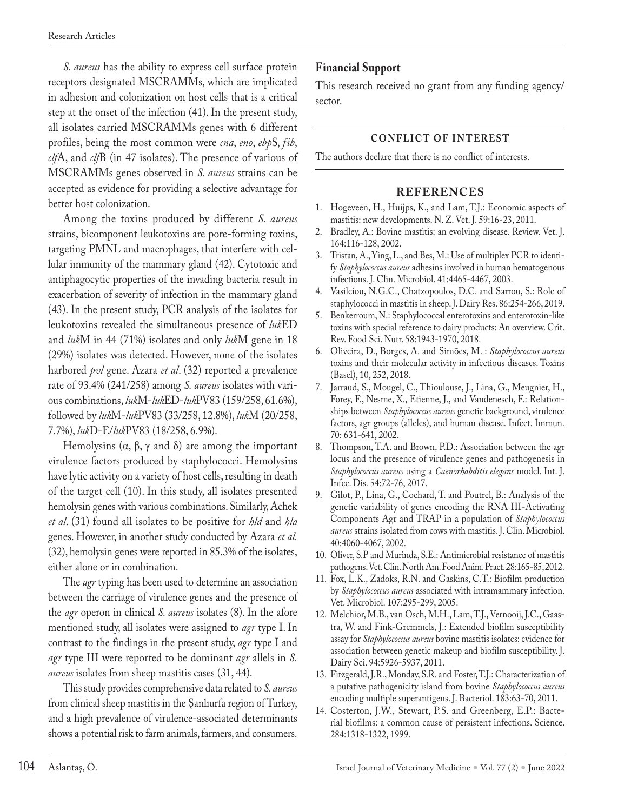*S. aureus* has the ability to express cell surface protein receptors designated MSCRAMMs, which are implicated in adhesion and colonization on host cells that is a critical step at the onset of the infection (41). In the present study, all isolates carried MSCRAMMs genes with 6 different profiles, being the most common were *cna*, *eno*, *ebp*S, *fib*, *clf*A, and *clf*B (in 47 isolates). The presence of various of MSCRAMMs genes observed in *S. aureus* strains can be accepted as evidence for providing a selective advantage for better host colonization.

Among the toxins produced by different *S. aureus* strains, bicomponent leukotoxins are pore-forming toxins, targeting PMNL and macrophages, that interfere with cellular immunity of the mammary gland (42). Cytotoxic and antiphagocytic properties of the invading bacteria result in exacerbation of severity of infection in the mammary gland (43). In the present study, PCR analysis of the isolates for leukotoxins revealed the simultaneous presence of *luk*ED and *luk*M in 44 (71%) isolates and only *luk*M gene in 18 (29%) isolates was detected. However, none of the isolates harbored *pvl* gene. Azara *et al*. (32) reported a prevalence rate of 93.4% (241/258) among *S. aureus* isolates with various combinations, *luk*M-*luk*ED-*luk*PV83 (159/258, 61.6%), followed by *luk*M-*luk*PV83 (33/258, 12.8%), *luk*M (20/258, 7.7%), *luk*D-E/*luk*PV83 (18/258, 6.9%).

Hemolysins  $(α, β, γ$  and  $δ)$  are among the important virulence factors produced by staphylococci. Hemolysins have lytic activity on a variety of host cells, resulting in death of the target cell (10). In this study, all isolates presented hemolysin genes with various combinations. Similarly, Achek *et al*. (31) found all isolates to be positive for *hld* and *hla* genes. However, in another study conducted by Azara *et al.*  (32), hemolysin genes were reported in 85.3% of the isolates, either alone or in combination.

The *agr* typing has been used to determine an association between the carriage of virulence genes and the presence of the *agr* operon in clinical *S. aureus* isolates (8). In the afore mentioned study, all isolates were assigned to *agr* type I. In contrast to the findings in the present study, *agr* type I and *agr* type III were reported to be dominant *agr* allels in *S. aureus* isolates from sheep mastitis cases (31, 44).

This study provides comprehensive data related to *S. aureus* from clinical sheep mastitis in the Şanlıurfa region of Turkey, and a high prevalence of virulence-associated determinants shows a potential risk to farm animals, farmers, and consumers.

## **Financial Support**

This research received no grant from any funding agency/ sector.

#### **CONFLICT OF INTEREST**

The authors declare that there is no conflict of interests.

#### **REFERENCES**

- 1. Hogeveen, H., Huijps, K., and Lam, T.J.: Economic aspects of mastitis: new developments. N. Z. Vet. J. 59:16-23, 2011.
- 2. Bradley, A.: Bovine mastitis: an evolving disease. Review. Vet. J. 164:116-128, 2002.
- 3. Tristan, A., Ying, L., and Bes, M.: Use of multiplex PCR to identify *Staphylococcus aureus* adhesins involved in human hematogenous infections. J. Clin. Microbiol. 41:4465-4467, 2003.
- 4. Vasileiou, N.G.C., Chatzopoulos, D.C. and Sarrou, S.: Role of staphylococci in mastitis in sheep. J. Dairy Res. 86:254-266, 2019.
- 5. Benkerroum, N.: Staphylococcal enterotoxins and enterotoxin-like toxins with special reference to dairy products: An overview. Crit. Rev. Food Sci. Nutr. 58:1943-1970, 2018.
- 6. Oliveira, D., Borges, A. and Simões, M. : *Staphylococcus aureus* toxins and their molecular activity in infectious diseases. Toxins (Basel), 10, 252, 2018.
- 7. Jarraud, S., Mougel, C., Thioulouse, J., Lina, G., Meugnier, H., Forey, F., Nesme, X., Etienne, J., and Vandenesch, F.: Relationships between *Staphylococcus aureus* genetic background, virulence factors, agr groups (alleles), and human disease. Infect. Immun. 70: 631-641, 2002.
- 8. Thompson, T.A. and Brown, P.D.: Association between the agr locus and the presence of virulence genes and pathogenesis in *Staphylococcus aureus* using a *Caenorhabditis elegans* model. Int. J. Infec. Dis. 54:72-76, 2017.
- 9. Gilot, P., Lina, G., Cochard, T. and Poutrel, B.: Analysis of the genetic variability of genes encoding the RNA III-Activating Components Agr and TRAP in a population of *Staphylococcus aureus* strains isolated from cows with mastitis. J. Clin. Microbiol. 40:4060-4067, 2002.
- 10. Oliver, S.P and Murinda, S.E.: Antimicrobial resistance of mastitis pathogens. Vet. Clin. North Am. Food Anim. Pract. 28:165-85, 2012.
- 11. Fox, L.K., Zadoks, R.N. and Gaskins, C.T.: Biofilm production by *Staphylococcus aureus* associated with intramammary infection. Vet. Microbiol. 107:295-299, 2005.
- 12. Melchior, M.B., van Osch, M.H., Lam, T.J., Vernooij, J.C., Gaastra, W. and Fink-Gremmels, J.: Extended biofilm susceptibility assay for *Staphylococcus aureus* bovine mastitis isolates: evidence for association between genetic makeup and biofilm susceptibility. J. Dairy Sci. 94:5926-5937, 2011.
- 13. Fitzgerald, J.R., Monday, S.R. and Foster, T.J.: Characterization of a putative pathogenicity island from bovine *Staphylococcus aureus* encoding multiple superantigens. J. Bacteriol. 183:63-70, 2011.
- 14. Costerton, J.W., Stewart, P.S. and Greenberg, E.P.: Bacterial biofilms: a common cause of persistent infections. Science. 284:1318-1322, 1999.